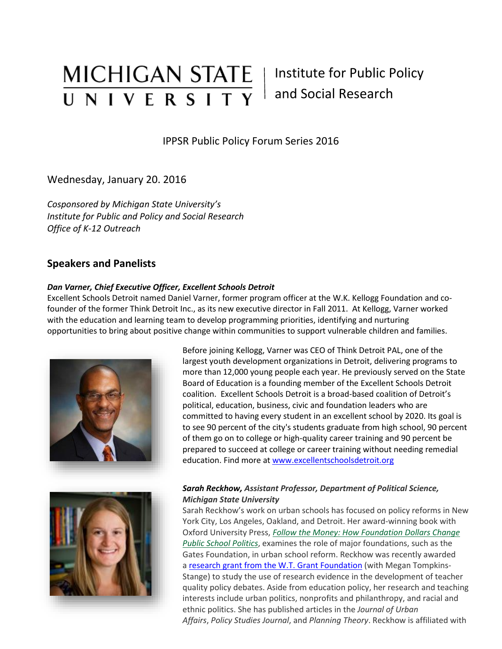# MICHIGAN STATE | Institute for Public Policy UNIVERSITY

# and Social Research

IPPSR Public Policy Forum Series 2016

Wednesday, January 20. 2016

*Cosponsored by Michigan State University's Institute for Public and Policy and Social Research Office of K-12 Outreach*

## **Speakers and Panelists**

#### *Dan Varner, Chief Executive Officer, Excellent Schools Detroit*

Excellent Schools Detroit named Daniel Varner, former program officer at the W.K. Kellogg Foundation and cofounder of the former Think Detroit Inc., as its new executive director in Fall 2011. At Kellogg, Varner worked with the education and learning team to develop programming priorities, identifying and nurturing opportunities to bring about positive change within communities to support vulnerable children and families.





Before joining Kellogg, Varner was CEO of Think Detroit PAL, one of the largest youth development organizations in Detroit, delivering programs to more than 12,000 young people each year. He previously served on the State Board of Education is a founding member of the Excellent Schools Detroit coalition. Excellent Schools Detroit is a broad-based coalition of Detroit's political, education, business, civic and foundation leaders who are committed to having every student in an excellent school by 2020. Its goal is to see 90 percent of the city's students graduate from high school, 90 percent of them go on to college or high-quality career training and 90 percent be prepared to succeed at college or career training without needing remedial education. Find more at [www.excellentschoolsdetroit.org](http://www.excellentschoolsdetroit.org/)

#### *Sarah Reckhow, Assistant Professor, Department of Political Science, Michigan State University*

Sarah Reckhow's work on urban schools has focused on policy reforms in New York City, Los Angeles, Oakland, and Detroit. Her award-winning book with Oxford University Press, *[Follow the Money: How Foundation Dollars Change](http://www.amazon.com/Follow-Money-Foundation-Political-Development/dp/0199937737)  [Public School Politics](http://www.amazon.com/Follow-Money-Foundation-Political-Development/dp/0199937737)*, examines the role of major foundations, such as the Gates Foundation, in urban school reform. Reckhow was recently awarded a [research grant from the W.T. Grant Foundation](http://wtgrantfoundation.org/browsegrants#/grant/183183) (with Megan Tompkins-Stange) to study the use of research evidence in the development of teacher quality policy debates. Aside from education policy, her research and teaching interests include urban politics, nonprofits and philanthropy, and racial and ethnic politics. She has published articles in the *Journal of Urban Affairs*, *Policy Studies Journal*, and *Planning Theory*. Reckhow is affiliated with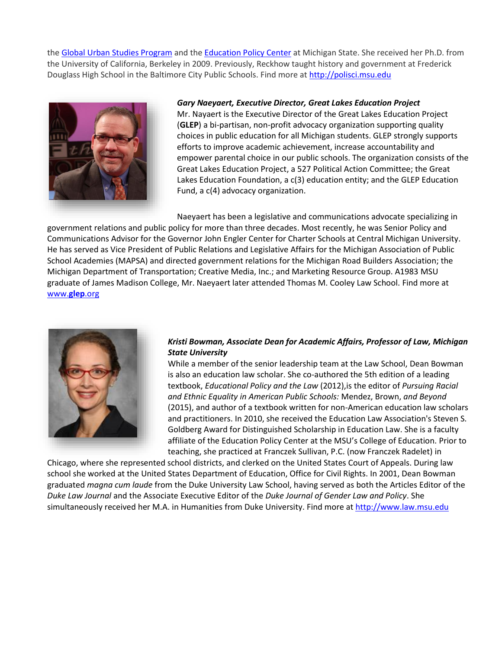the [Global Urban Studies Program](http://gusp.msu.edu/) and the [Education Policy Center](http://education.msu.edu/epc/) at Michigan State. She received her Ph.D. from the University of California, Berkeley in 2009. Previously, Reckhow taught history and government at Frederick Douglass High School in the Baltimore City Public Schools. Find more at [http://polisci.msu.edu](http://polisci.msu.edu/)



#### *Gary Naeyaert, Executive Director, Great Lakes Education Project*

Mr. Nayaert is the Executive Director of the Great Lakes Education Project (**GLEP**) a bi-partisan, non-profit advocacy organization supporting quality choices in public education for all Michigan students. GLEP strongly supports efforts to improve academic achievement, increase accountability and empower parental choice in our public schools. The organization consists of the Great Lakes Education Project, a 527 Political Action Committee; the Great Lakes Education Foundation, a c(3) education entity; and the GLEP Education Fund, a c(4) advocacy organization.

Naeyaert has been a legislative and communications advocate specializing in

government relations and public policy for more than three decades. Most recently, he was Senior Policy and Communications Advisor for the Governor John Engler Center for Charter Schools at Central Michigan University. He has served as Vice President of Public Relations and Legislative Affairs for the Michigan Association of Public School Academies (MAPSA) and directed government relations for the Michigan Road Builders Association; the Michigan Department of Transportation; Creative Media, Inc.; and Marketing Resource Group. A1983 MSU graduate of James Madison College, Mr. Naeyaert later attended Thomas M. Cooley Law School. Find more at [www.](http://www.glep.org/)**glep**.org



#### *Kristi Bowman, Associate Dean for Academic Affairs, Professor of Law, Michigan State University*

While a member of the senior leadership team at the Law School, Dean Bowman is also an education law scholar. She co-authored the 5th edition of a leading textbook, *Educational Policy and the Law* (2012),is the editor of *Pursuing Racial and Ethnic Equality in American Public Schools:* Mendez, Brown, *and Beyond* (2015), and author of a textbook written for non-American education law scholars and practitioners. In 2010, she received the Education Law Association's Steven S. Goldberg Award for Distinguished Scholarship in Education Law. She is a faculty affiliate of the Education Policy Center at the MSU's College of Education. Prior to teaching, she practiced at Franczek Sullivan, P.C. (now Franczek Radelet) in

[Chicago, where she represented](http://www.law.msu.edu/faculty_staff/profile.php?prof=549) school districts, and clerked on the United States Court of Appeals. During law school she worked at the United States Department of Education, Office for Civil Rights. In 2001, Dean Bowman graduated *magna cum laude* from the Duke University Law School, having served as both the Articles Editor of the *Duke Law Journal* and the Associate Executive Editor of the *Duke Journal of Gender Law and Policy*. She simultaneously received her M.A. in Humanities from Duke University. Find more a[t http://www.law.msu.edu](http://www.law.msu.edu/)